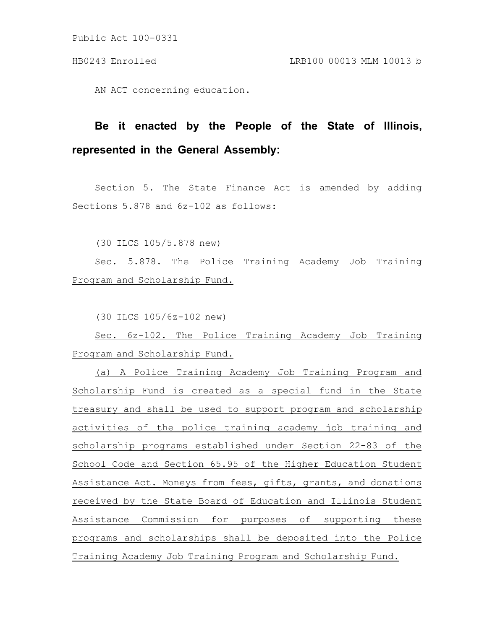Public Act 100-0331

AN ACT concerning education.

## **Be it enacted by the People of the State of Illinois, represented in the General Assembly:**

Section 5. The State Finance Act is amended by adding Sections 5.878 and 6z-102 as follows:

(30 ILCS 105/5.878 new)

Sec. 5.878. The Police Training Academy Job Training Program and Scholarship Fund.

(30 ILCS 105/6z-102 new)

Sec. 6z-102. The Police Training Academy Job Training Program and Scholarship Fund.

(a) A Police Training Academy Job Training Program and Scholarship Fund is created as a special fund in the State treasury and shall be used to support program and scholarship activities of the police training academy job training and scholarship programs established under Section 22-83 of the School Code and Section 65.95 of the Higher Education Student Assistance Act. Moneys from fees, gifts, grants, and donations received by the State Board of Education and Illinois Student Assistance Commission for purposes of supporting these programs and scholarships shall be deposited into the Police Training Academy Job Training Program and Scholarship Fund.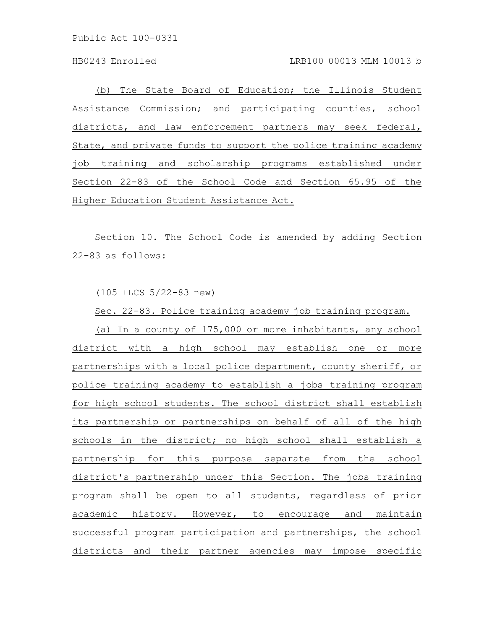Public Act 100-0331

HB0243 Enrolled LRB100 00013 MLM 10013 b

(b) The State Board of Education; the Illinois Student Assistance Commission; and participating counties, school districts, and law enforcement partners may seek federal, State, and private funds to support the police training academy job training and scholarship programs established under Section 22-83 of the School Code and Section 65.95 of the Higher Education Student Assistance Act.

Section 10. The School Code is amended by adding Section 22-83 as follows:

(105 ILCS 5/22-83 new)

Sec. 22-83. Police training academy job training program.

(a) In a county of 175,000 or more inhabitants, any school district with a high school may establish one or more partnerships with a local police department, county sheriff, or police training academy to establish a jobs training program for high school students. The school district shall establish its partnership or partnerships on behalf of all of the high schools in the district; no high school shall establish a partnership for this purpose separate from the school district's partnership under this Section. The jobs training program shall be open to all students, regardless of prior academic history. However, to encourage and maintain successful program participation and partnerships, the school districts and their partner agencies may impose specific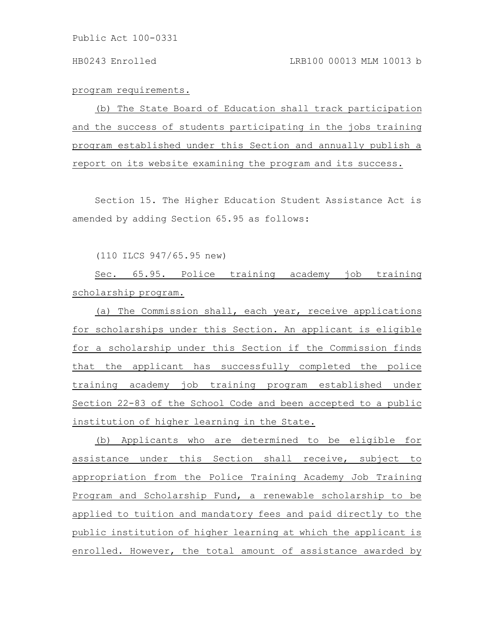program requirements.

(b) The State Board of Education shall track participation and the success of students participating in the jobs training program established under this Section and annually publish a report on its website examining the program and its success.

Section 15. The Higher Education Student Assistance Act is amended by adding Section 65.95 as follows:

(110 ILCS 947/65.95 new)

Sec. 65.95. Police training academy job training scholarship program.

(a) The Commission shall, each year, receive applications for scholarships under this Section. An applicant is eligible for a scholarship under this Section if the Commission finds that the applicant has successfully completed the police training academy job training program established under Section 22-83 of the School Code and been accepted to a public institution of higher learning in the State.

(b) Applicants who are determined to be eligible for assistance under this Section shall receive, subject to appropriation from the Police Training Academy Job Training Program and Scholarship Fund, a renewable scholarship to be applied to tuition and mandatory fees and paid directly to the public institution of higher learning at which the applicant is enrolled. However, the total amount of assistance awarded by